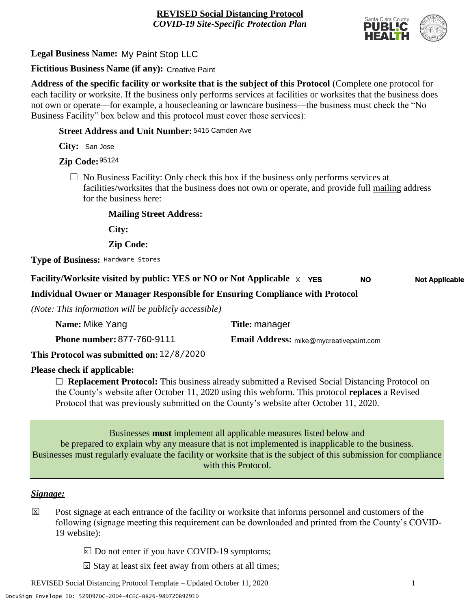

**Legal Business Name:** My Paint Stop LLC

**Fictitious Business Name (if any):** Creative Paint

**Address of the specific facility or worksite that is the subject of this Protocol** (Complete one protocol for each facility or worksite. If the business only performs services at facilities or worksites that the business does not own or operate—for example, a housecleaning or lawncare business—the business must check the "No Business Facility" box below and this protocol must cover those services):

**Street Address and Unit Number:** 5415 Camden Ave

**City:** San Jose

**Zip Code:** 95124

 $\Box$  No Business Facility: Only check this box if the business only performs services at facilities/worksites that the business does not own or operate, and provide full mailing address for the business here:

**Mailing Street Address:**

**City:**

**Zip Code:**

**Type of Business:** Hardware Stores

#### **Facility/Worksite visited by public: YES or NO or Not Applicable** X **YES Not Applicable NO**

**Individual Owner or Manager Responsible for Ensuring Compliance with Protocol**

*(Note: This information will be publicly accessible)*

| Name: Mike Yang                   | Title: manager                                 |
|-----------------------------------|------------------------------------------------|
| <b>Phone number: 877-760-9111</b> | <b>Email Address:</b> mike@mycreativepaint.com |
| <u>הרה הוני הו</u><br>.           |                                                |

**This Protocol was submitted on:** 12/8/2020

# **Please check if applicable:**

☐ **Replacement Protocol:** This business already submitted a Revised Social Distancing Protocol on the County's website after October 11, 2020 using this webform. This protocol **replaces** a Revised Protocol that was previously submitted on the County's website after October 11, 2020.

Businesses **must** implement all applicable measures listed below and be prepared to explain why any measure that is not implemented is inapplicable to the business. Businesses must regularly evaluate the facility or worksite that is the subject of this submission for compliance with this Protocol.

# *Signage:*

- Post signage at each entrance of the facility or worksite that informs personnel and customers of the following (signage meeting this requirement can be downloaded and printed from the County's COVID-19 website):  $|\mathsf{X}|$ 
	- $\boxed{\times}$  Do not enter if you have COVID-19 symptoms;
	- $\boxtimes$  Stay at least six feet away from others at all times;

REVISED Social Distancing Protocol Template – Updated October 11, 2020 1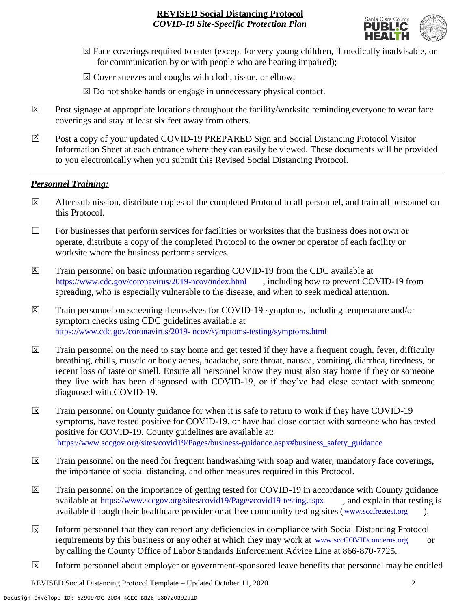

- ☐ Face coverings required to enter (except for very young children, if medically inadvisable, or X for communication by or with people who are hearing impaired);
- ⊠ Cover sneezes and coughs with cloth, tissue, or elbow;
- ⊠ Do not shake hands or engage in unnecessary physical contact.
- Post signage at appropriate locations throughout the facility/worksite reminding everyone to wear face coverings and stay at least six feet away from others. X
- Post a copy of your updated COVID-19 PREPARED Sign and Social Distancing Protocol Visitor Information Sheet at each entrance where they can easily be viewed. These documents will be provided to you electronically when you submit this Revised Social Distancing Protocol.  $\mathbb{Z}$

#### *Personnel Training:*

- After submission, distribute copies of the completed Protocol to all personnel, and train all personnel on this Protocol.  $\mathbf x$
- $\Box$  For businesses that perform services for facilities or worksites that the business does not own or operate, distribute a copy of the completed Protocol to the owner or operator of each facility or worksite where the business performs services.
- Train personnel on basic information regarding COVID-19 from the CDC available at [https://www.cdc.gov/coronavirus/2019-ncov/index.html,](https://www.cdc.gov/coronavirus/2019-ncov/index.html) including how to prevent COVID-19 from spreading, who is especially vulnerable to the disease, and when to seek medical attention.  $\mathsf{X}$
- Train personnel on screening themselves for COVID-19 symptoms, including temperature and/or symptom checks using CDC guidelines available at [https://www.cdc.gov/coronavirus/2019-](https://www.cdc.gov/coronavirus/2019-ncov/symptoms-testing/symptoms.html) [ncov/symptoms-testing/symptoms.html.](https://www.cdc.gov/coronavirus/2019-ncov/symptoms-testing/symptoms.html) https://www.cdc.gov/coronavirus/2019- ncov/symptoms-testing/symptoms.html  $|\mathsf{X}|$
- Train personnel on the need to stay home and get tested if they have a frequent cough, fever, difficulty breathing, chills, muscle or body aches, headache, sore throat, nausea, vomiting, diarrhea, tiredness, or recent loss of taste or smell. Ensure all personnel know they must also stay home if they or someone they live with has been diagnosed with COVID-19, or if they've had close contact with someone diagnosed with COVID-19.  $\overline{\mathsf{x}}$
- Train personnel on County guidance for when it is safe to return to work if they have COVID-19 symptoms, have tested positive for COVID-19, or have had close contact with someone who has tested positive for COVID-19. County guidelines are available at: [https://www.sccgov.org/sites/covid19/Pages/business-guidance.aspx#business\\_safety\\_guidance.](https://www.sccgov.org/sites/covid19/Pages/business-guidance.aspx#business_safety_guidance.) https://www.sccgov.org/sites/covid19/Pages/business-guidance.aspx#business\_safety\_guidance  $\overline{\mathbf{x}}$
- Train personnel on the need for frequent handwashing with soap and water, mandatory face coverings, the importance of social distancing, and other measures required in this Protocol.  $\overline{\mathsf{x}}$
- Train personnel on the importance of getting tested for COVID-19 in accordance with County guidance available at [https://www.sccgov.org/sites/covid19/Pages/covid19-testing.aspx,](https://www.sccgov.org/sites/covid19/Pages/covid19-testing.aspx) and explain that testing is available through their healthcare provider or at free community testing sites [\(www.sccfreetest.org](http://www.sccfreetest.org/) ).  $\vert X \vert$
- Inform personnel that they can report any deficiencies in compliance with Social Distancing Protocol requirements by this business or any other at which they may work at [www.sccCOVIDconcerns.org](http://www.scccovidconcerns.org/) or by calling the County Office of Labor Standards Enforcement Advice Line at 866-870-7725.  $\overline{\mathbf{x}}$
- Inform personnel about employer or government-sponsored leave benefits that personnel may be entitled  $\boxtimes$

REVISED Social Distancing Protocol Template – Updated October 11, 2020 2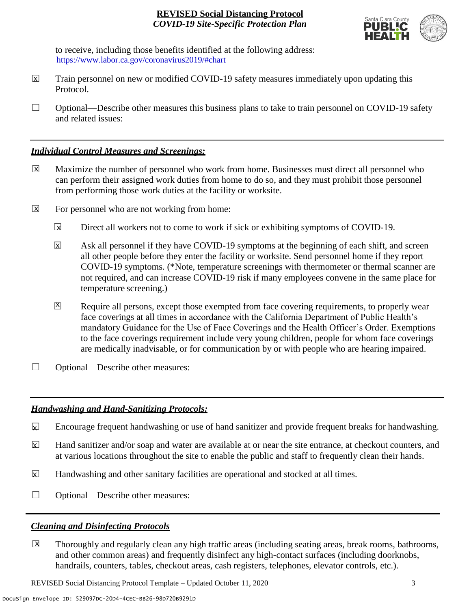

to receive, including those benefits identified at the following address: [https://www.labor.ca.gov/coronavirus2019/#chart.](https://www.labor.ca.gov/coronavirus2019/#chart) https://www.labor.ca.gov/coronavirus2019/#chart

- Train personnel on new or modified COVID-19 safety measures immediately upon updating this Protocol.  $\boxtimes$
- $\Box$  Optional—Describe other measures this business plans to take to train personnel on COVID-19 safety and related issues:

#### *Individual Control Measures and Screenings:*

- Maximize the number of personnel who work from home. Businesses must direct all personnel who can perform their assigned work duties from home to do so, and they must prohibit those personnel from performing those work duties at the facility or worksite.  $|\overline{X}|$
- For personnel who are not working from home:  $\boxtimes$ 
	- Direct all workers not to come to work if sick or exhibiting symptoms of COVID-19.  $\overline{\mathbf{x}}$
	- Ask all personnel if they have COVID-19 symptoms at the beginning of each shift, and screen all other people before they enter the facility or worksite. Send personnel home if they report COVID-19 symptoms. (\*Note, temperature screenings with thermometer or thermal scanner are not required, and can increase COVID-19 risk if many employees convene in the same place for temperature screening.) X
	- Require all persons, except those exempted from face covering requirements, to properly wear face coverings at all times in accordance with the California Department of Public Health's mandatory Guidance for the Use of Face Coverings and the Health Officer's Order. Exemptions to the face coverings requirement include very young children, people for whom face coverings are medically inadvisable, or for communication by or with people who are hearing impaired.  $\mathbf{X}$
- □ Optional—Describe other measures:

# *Handwashing and Hand-Sanitizing Protocols:*

- Encourage frequent handwashing or use of hand sanitizer and provide frequent breaks for handwashing.  $\mathbf{x}$
- Hand sanitizer and/or soap and water are available at or near the site entrance, at checkout counters, and at various locations throughout the site to enable the public and staff to frequently clean their hands.  $\overline{\mathbf{x}}$
- Handwashing and other sanitary facilities are operational and stocked at all times.  $\mathbf{x}$
- ☐ Optional—Describe other measures:

# *Cleaning and Disinfecting Protocols*

☐ Thoroughly and regularly clean any high traffic areas (including seating areas, break rooms, bathrooms, and other common areas) and frequently disinfect any high-contact surfaces (including doorknobs, handrails, counters, tables, checkout areas, cash registers, telephones, elevator controls, etc.).  $\overline{\mathsf{x}}$ 

REVISED Social Distancing Protocol Template – Updated October 11, 2020 3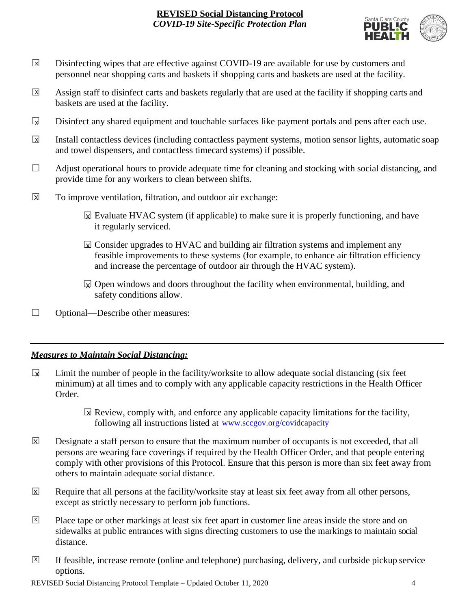

- Disinfecting wipes that are effective against COVID-19 are available for use by customers and personnel near shopping carts and baskets if shopping carts and baskets are used at the facility.  $\boxed{\mathsf{x}}$
- Assign staff to disinfect carts and baskets regularly that are used at the facility if shopping carts and baskets are used at the facility.  $\sqrt{X}$
- Disinfect any shared equipment and touchable surfaces like payment portals and pens after each use.  $\Box$
- Install contactless devices (including contactless payment systems, motion sensor lights, automatic soap and towel dispensers, and contactless timecard systems) if possible.  $\overline{\mathbf{x}}$
- $\Box$  Adjust operational hours to provide adequate time for cleaning and stocking with social distancing, and provide time for any workers to clean between shifts.
- To improve ventilation, filtration, and outdoor air exchange:  $\overline{\mathsf{x}}$ 
	- $\boxtimes$  Evaluate HVAC system (if applicable) to make sure it is properly functioning, and have it regularly serviced.
	- $\boxtimes$  Consider upgrades to HVAC and building air filtration systems and implement any feasible improvements to these systems (for example, to enhance air filtration efficiency and increase the percentage of outdoor air through the HVAC system).
	- $\boxdot$  Open windows and doors throughout the facility when environmental, building, and safety conditions allow.
- ☐ Optional—Describe other measures:

# *Measures to Maintain Social Distancing:*

- Limit the number of people in the facility/worksite to allow adequate social distancing (six feet minimum) at all times and to comply with any applicable capacity restrictions in the Health Officer Order.  $\mathbf{r}$ 
	- $\boxtimes$  Review, comply with, and enforce any applicable capacity limitations for the facility, following all instructions listed at www.sccgov.org/covidcapacity
- Designate a staff person to ensure that the maximum number of occupants is not exceeded, that all persons are wearing face coverings if required by the Health Officer Order, and that people entering comply with other provisions of this Protocol. Ensure that this person is more than six feet away from others to maintain adequate social distance.  $|\overline{\mathsf{x}}|$
- Require that all persons at the facility/worksite stay at least six feet away from all other persons, except as strictly necessary to perform job functions. X
- Place tape or other markings at least six feet apart in customer line areas inside the store and on sidewalks at public entrances with signs directing customers to use the markings to maintain social distance. X
- ☐ If feasible, increase remote (online and telephone) purchasing, delivery, and curbside pickup service options.  $\overline{X}$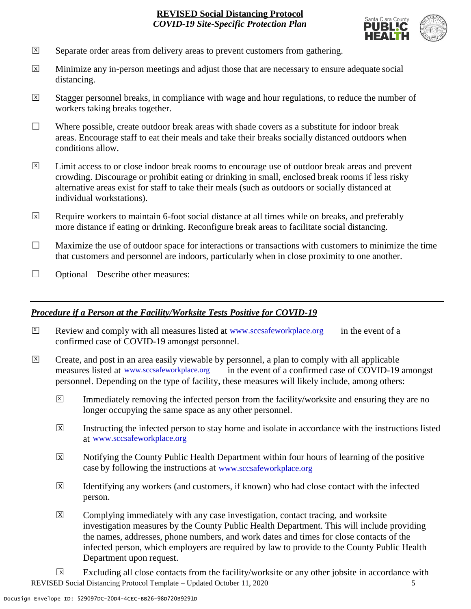

- Separate order areas from delivery areas to prevent customers from gathering. X
- Minimize any in-person meetings and adjust those that are necessary to ensure adequate social distancing.  $\overline{x}$
- Stagger personnel breaks, in compliance with wage and hour regulations, to reduce the number of workers taking breaks together.  $\overline{x}$
- $\Box$  Where possible, create outdoor break areas with shade covers as a substitute for indoor break areas. Encourage staff to eat their meals and take their breaks socially distanced outdoors when conditions allow.
- Limit access to or close indoor break rooms to encourage use of outdoor break areas and prevent crowding. Discourage or prohibit eating or drinking in small, enclosed break rooms if less risky alternative areas exist for staff to take their meals (such as outdoors or socially distanced at individual workstations).  $\overline{X}$
- Require workers to maintain 6-foot social distance at all times while on breaks, and preferably more distance if eating or drinking. Reconfigure break areas to facilitate social distancing. X
- $\Box$  Maximize the use of outdoor space for interactions or transactions with customers to minimize the time that customers and personnel are indoors, particularly when in close proximity to one another.
- □ Optional—Describe other measures:

#### *Procedure if a Person at the Facility/Worksite Tests Positive for COVID-19*

- $\boxtimes$  Review and comply with all measures listed at [www.sccsafeworkplace.org](http://www.sccsafeworkplace.org/) in the event of a confirmed case of COVID-19 amongst personnel.
- ☐ Create, and post in an area easily viewable by personnel, a plan to comply with all applicable in the event of a confirmed case of COVID-19 amongst personnel. Depending on the type of facility, these measures will likely include, among others: measures listed at www.sccsafeworkplace.org  $\overline{X}$ 
	- Immediately removing the infected person from the facility/worksite and ensuring they are no longer occupying the same space as any other personnel.  $\vert X \vert$
	- Instructing the infected person to stay home and isolate in accordance with the instructions listed at [www.sccsafeworkplace.org.](file:///C:/Users/raphael.rajendra/AppData/Local/Microsoft/Windows/INetCache/Content.Outlook/PTLHNOTE/www.sccsafeworkplace.org) www.sccsafeworkplace.org X
	- Notifying the County Public Health Department within four hours of learning of the positive case by following the instructions at www.sccsafeworkplace.org  $\overline{X}$
	- Identifying any workers (and customers, if known) who had close contact with the infected person.  $\overline{X}$
	- Complying immediately with any case investigation, contact tracing, and worksite investigation measures by the County Public Health Department. This will include providing the names, addresses, phone numbers, and work dates and times for close contacts of the infected person, which employers are required by law to provide to the County Public Health Department upon request.  $\boxed{\mathsf{X}}$

REVISED Social Distancing Protocol Template – Updated October 11, 2020 5 Excluding all close contacts from the facility/worksite or any other jobsite in accordance with  $\sqrt{X}$